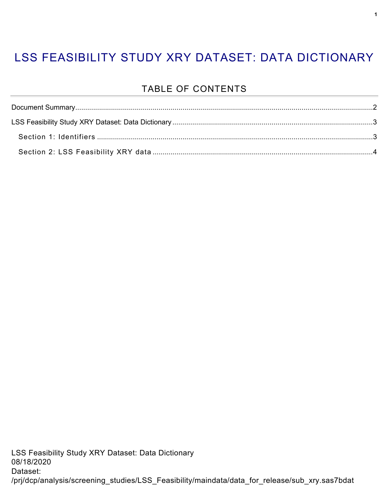### LSS FEASIBILITY STUDY XRY DATASET: DATA DICTIONARY

#### TABLE OF CONTENTS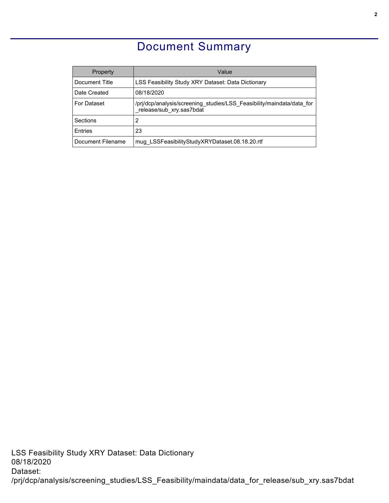#### Document Summary

<span id="page-1-0"></span>

| Property           | Value                                                                                             |
|--------------------|---------------------------------------------------------------------------------------------------|
| Document Title     | LSS Feasibility Study XRY Dataset: Data Dictionary                                                |
| Date Created       | 08/18/2020                                                                                        |
| <b>For Dataset</b> | /pri/dcp/analysis/screening studies/LSS Feasibility/maindata/data for<br>release/sub xry.sas7bdat |
| Sections           | 2                                                                                                 |
| Entries            | 23                                                                                                |
| Document Filename  | mug LSSFeasibilityStudyXRYDataset.08.18.20.rtf                                                    |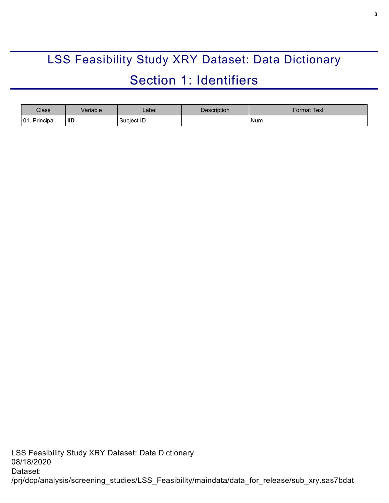# <span id="page-2-0"></span>LSS Feasibility Study XRY Dataset: Data Dictionary Section 1: Identifiers

<span id="page-2-1"></span>

| Class                                  | /ariable   | _abel_     | Description | <sup>∶</sup> ormat Text |
|----------------------------------------|------------|------------|-------------|-------------------------|
| $\bigcap$ 1<br>Principal<br><b>UI.</b> | <b>IID</b> | Subject ID |             | <b>Num</b>              |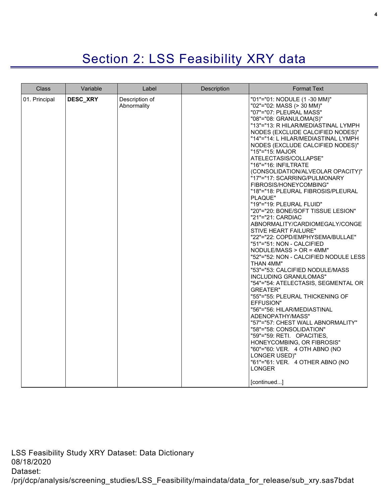## Section 2: LSS Feasibility XRY data

<span id="page-3-0"></span>

| <b>Class</b>  | Variable | Label                         | <b>Description</b> | <b>Format Text</b>                                                                                                                                                                                                                                                                                                                                                                                                                                                                                                                                                                                                                                                                                                                                                                                                                                                                                                                                                                                                                                                                                                                                                                                                                                                        |
|---------------|----------|-------------------------------|--------------------|---------------------------------------------------------------------------------------------------------------------------------------------------------------------------------------------------------------------------------------------------------------------------------------------------------------------------------------------------------------------------------------------------------------------------------------------------------------------------------------------------------------------------------------------------------------------------------------------------------------------------------------------------------------------------------------------------------------------------------------------------------------------------------------------------------------------------------------------------------------------------------------------------------------------------------------------------------------------------------------------------------------------------------------------------------------------------------------------------------------------------------------------------------------------------------------------------------------------------------------------------------------------------|
| 01. Principal | DESC_XRY | Description of<br>Abnormality |                    | "01"="01: NODULE (1 -30 MM)"<br>"02"="02: MASS (> 30 MM)"<br>"07"="07: PLEURAL MASS"<br>"08"="08: GRANULOMA(S)"<br>"13"="13: R HILAR/MEDIASTINAL LYMPH<br>NODES (EXCLUDE CALCIFIED NODES)"<br>"14"="14: L HILAR/MEDIASTINAL LYMPH<br>NODES (EXCLUDE CALCIFIED NODES)"<br>"15"="15: MAJOR<br>ATELECTASIS/COLLAPSE"<br>"16"="16: INFILTRATE<br>(CONSOLIDATION/ALVEOLAR OPACITY)"<br>"17"="17: SCARRING/PULMONARY<br>FIBROSIS/HONEYCOMBING"<br>"18"="18: PLEURAL FIBROSIS/PLEURAL<br>PLAQUE"<br>"19"="19: PLEURAL FLUID"<br>"20"="20: BONE/SOFT TISSUE LESION"<br>"21"="21: CARDIAC<br>ABNORMALITY/CARDIOMEGALY/CONGE<br><b>STIVE HEART FAILURE"</b><br>"22"="22: COPD/EMPHYSEMA/BULLAE"<br>"51"="51: NON - CALCIFIED<br>$NODULE/MASS > OR = 4MM"$<br>"52"="52: NON - CALCIFIED NODULE LESS<br>THAN 4MM"<br>"53"="53: CALCIFIED NODULE/MASS<br>INCLUDING GRANULOMAS"<br>"54"="54: ATELECTASIS, SEGMENTAL OR<br>GREATER"<br>"55"="55: PLEURAL THICKENING OF<br>EFFUSION"<br>"56"="56: HILAR/MEDIASTINAL<br>ADENOPATHY/MASS"<br>"57"="57: CHEST WALL ABNORMALITY"<br>"58"="58: CONSOLIDATION"<br>"59"="59: RETI. OPACITIES,<br>HONEYCOMBING, OR FIBROSIS"<br>"60"="60: VER. 4 OTH ABNO (NO<br>LONGER USED)"<br>"61"="61: VER. 4 OTHER ABNO (NO<br><b>LONGER</b><br>[continued] |

LSS Feasibility Study XRY Dataset: Data Dictionary 08/18/2020 Dataset: /prj/dcp/analysis/screening\_studies/LSS\_Feasibility/maindata/data\_for\_release/sub\_xry.sas7bdat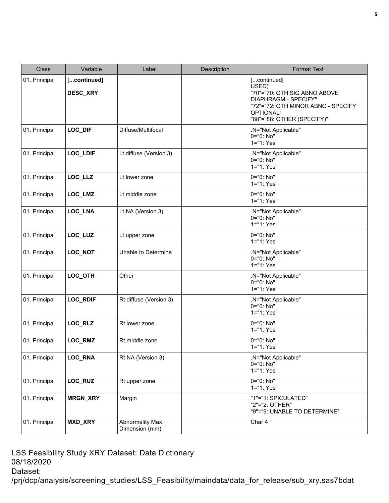| <b>Class</b>  | Variable                | Label                                    | Description | <b>Format Text</b>                                                                                                                                             |
|---------------|-------------------------|------------------------------------------|-------------|----------------------------------------------------------------------------------------------------------------------------------------------------------------|
| 01. Principal | [continued]<br>DESC_XRY |                                          |             | [continued]<br>USED)"<br>"70"="70: OTH SIG ABNO ABOVE<br>DIAPHRAGM - SPECIFY"<br>"72"="72: OTH MINOR ABNO - SPECIFY<br>OPTIONAL"<br>"88"="88: OTHER (SPECIFY)" |
| 01. Principal | LOC_DIF                 | Diffuse/Multifocal                       |             | .N="Not Applicable"<br>0="0: No"<br>1="1: Yes"                                                                                                                 |
| 01. Principal | LOC_LDIF                | Lt diffuse (Version 3)                   |             | .N="Not Applicable"<br>0="0: No"<br>1="1: Yes"                                                                                                                 |
| 01. Principal | LOC_LLZ                 | Lt lower zone                            |             | 0="0: No"<br>1="1: Yes"                                                                                                                                        |
| 01. Principal | LOC_LMZ                 | Lt middle zone                           |             | 0="0: No"<br>1="1: Yes"                                                                                                                                        |
| 01. Principal | LOC_LNA                 | Lt NA (Version 3)                        |             | .N="Not Applicable"<br>0="0: No"<br>1="1: Yes"                                                                                                                 |
| 01. Principal | LOC_LUZ                 | Lt upper zone                            |             | 0="0: No"<br>1="1: Yes"                                                                                                                                        |
| 01. Principal | LOC_NOT                 | Unable to Determine                      |             | .N="Not Applicable"<br>0="0: No"<br>1="1: Yes"                                                                                                                 |
| 01. Principal | LOC_OTH                 | Other                                    |             | .N="Not Applicable"<br>0="0: No"<br>1="1: Yes"                                                                                                                 |
| 01. Principal | <b>LOC_RDIF</b>         | Rt diffuse (Version 3)                   |             | .N="Not Applicable"<br>0="0: No"<br>1="1: Yes"                                                                                                                 |
| 01. Principal | LOC_RLZ                 | Rt lower zone                            |             | 0="0: No"<br>1="1: Yes"                                                                                                                                        |
| 01. Principal | LOC_RMZ                 | Rt middle zone                           |             | 0="0: No"<br>1="1: Yes"                                                                                                                                        |
| 01. Principal | LOC_RNA                 | Rt NA (Version 3)                        |             | .N="Not Applicable"<br>0="0: No"<br>1="1: Yes"                                                                                                                 |
| 01. Principal | LOC_RUZ                 | Rt upper zone                            |             | 0="0: No"<br>1="1: Yes"                                                                                                                                        |
| 01. Principal | <b>MRGN_XRY</b>         | Margin                                   |             | "1"="1: SPICULATED"<br>"2"="2: OTHER"<br>"9"="9: UNABLE TO DETERMINE"                                                                                          |
| 01. Principal | <b>MXD_XRY</b>          | <b>Abnormality Max</b><br>Dimension (mm) |             | Char 4                                                                                                                                                         |

LSS Feasibility Study XRY Dataset: Data Dictionary 08/18/2020 Dataset:

/prj/dcp/analysis/screening\_studies/LSS\_Feasibility/maindata/data\_for\_release/sub\_xry.sas7bdat